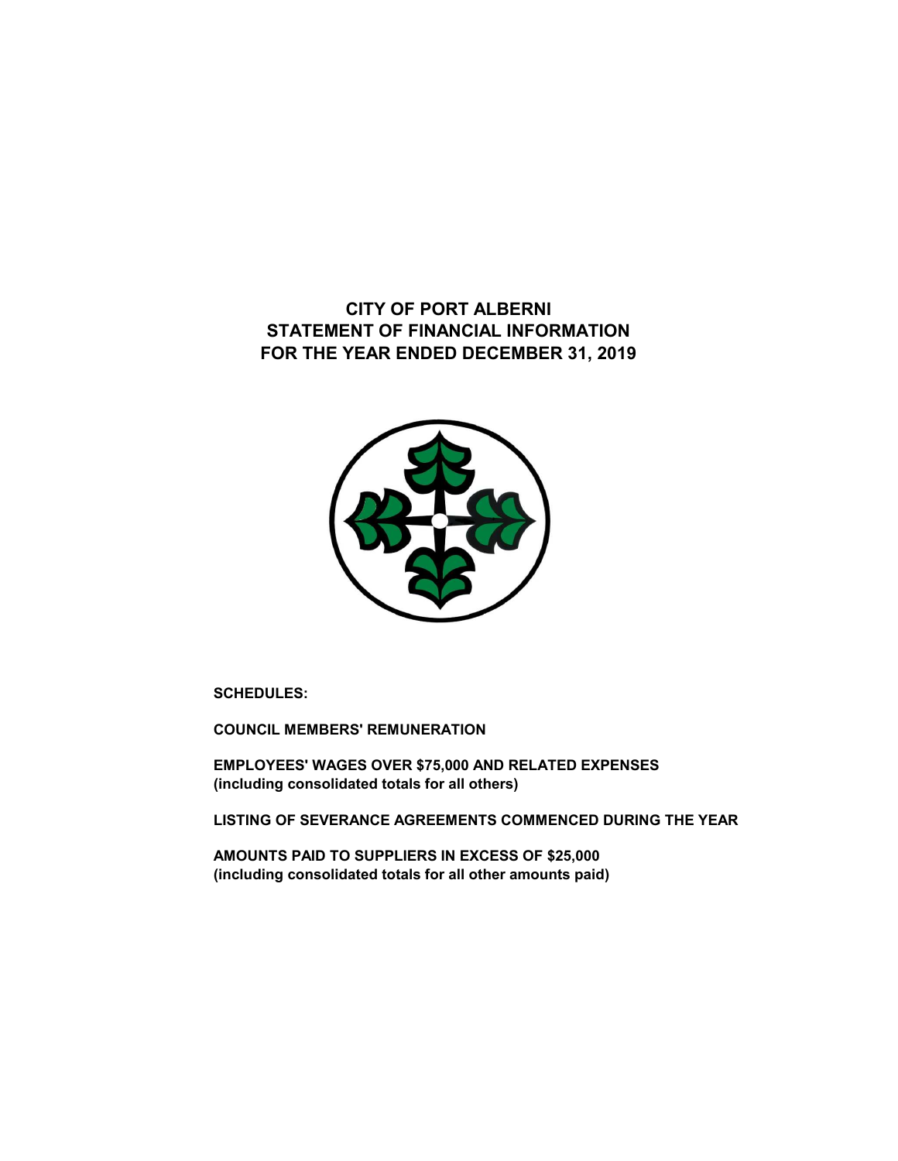**STATEMENT OF FINANCIAL INFORMATION FOR THE YEAR ENDED DECEMBER 31, 2019 CITY OF PORT ALBERNI**



**SCHEDULES:**

**COUNCIL MEMBERS' REMUNERATION**

**EMPLOYEES' WAGES OVER \$75,000 AND RELATED EXPENSES (including consolidated totals for all others)**

**LISTING OF SEVERANCE AGREEMENTS COMMENCED DURING THE YEAR**

**AMOUNTS PAID TO SUPPLIERS IN EXCESS OF \$25,000 (including consolidated totals for all other amounts paid)**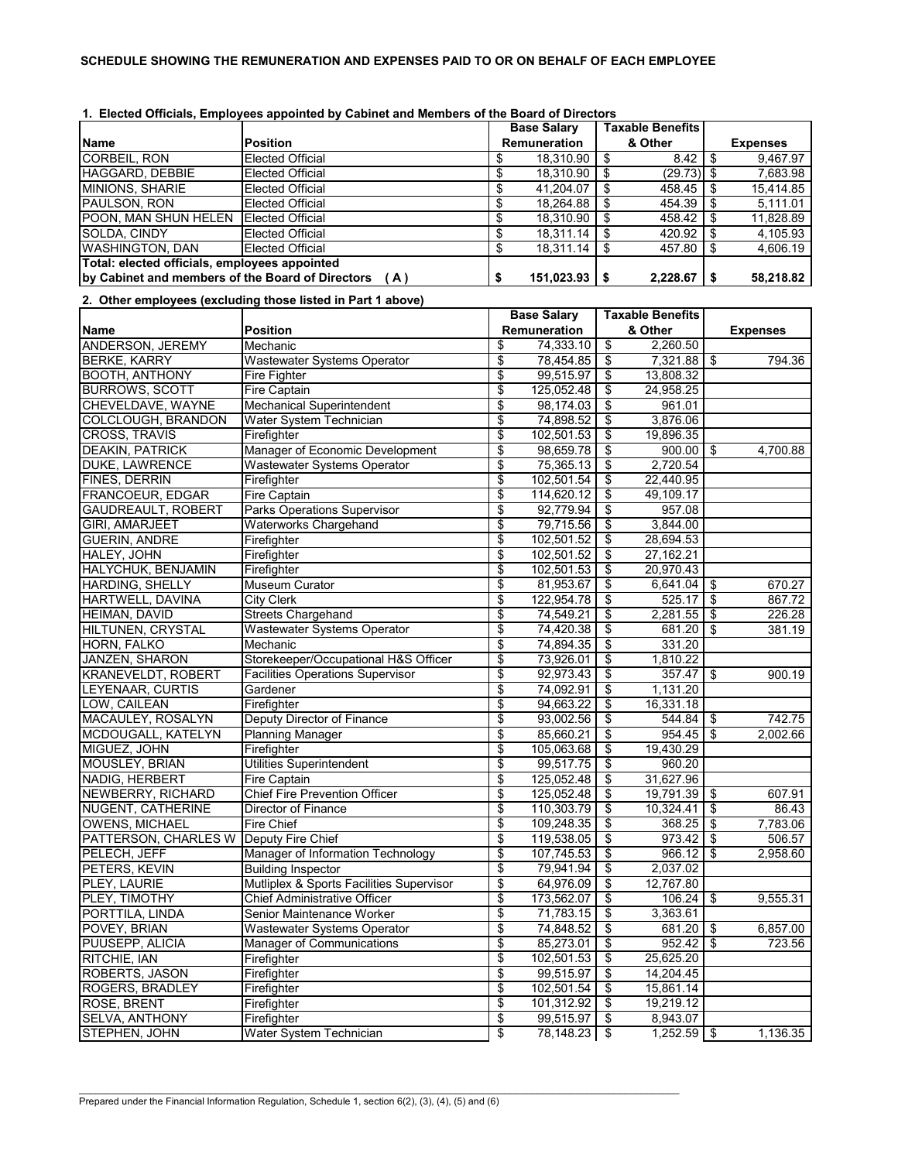|--|

|                                                  |                                                             |                         | <b>Base Salary</b>     |            | <b>Taxable Benefits</b> |     |                 |
|--------------------------------------------------|-------------------------------------------------------------|-------------------------|------------------------|------------|-------------------------|-----|-----------------|
| <b>Name</b>                                      | <b>Position</b>                                             |                         | Remuneration           |            | & Other                 |     | <b>Expenses</b> |
| <b>CORBEIL, RON</b>                              | Elected Official                                            | \$                      | 18,310.90              | \$         | 8.42                    | \$  | 9,467.97        |
| HAGGARD, DEBBIE                                  | <b>Elected Official</b>                                     | \$                      | 18.310.90              | \$         | (29.73)                 | \$  | 7,683.98        |
| MINIONS, SHARIE                                  | <b>Elected Official</b>                                     | \$                      | 41,204.07              | \$         | 458.45                  | -\$ | 15,414.85       |
| PAULSON, RON                                     | <b>Elected Official</b>                                     | \$                      | 18,264.88              | \$         | 454.39                  | \$  | 5,111.01        |
| POON, MAN SHUN HELEN Elected Official            |                                                             | \$                      | 18,310.90              | \$         | 458.42                  | \$  | 11,828.89       |
| SOLDA, CINDY                                     | <b>Elected Official</b>                                     | \$                      | 18,311.14              | \$         | 420.92                  | \$  | 4,105.93        |
| <b>WASHINGTON, DAN</b>                           | <b>Elected Official</b>                                     | \$                      | 18,311.14              | \$         | 457.80                  | \$  | 4,606.19        |
| Total: elected officials, employees appointed    |                                                             |                         |                        |            |                         |     |                 |
| by Cabinet and members of the Board of Directors | (A)                                                         | \$                      | 151,023.93             | \$         | 2,228.67                | \$  | 58,218.82       |
|                                                  | 2. Other employees (excluding those listed in Part 1 above) |                         |                        |            |                         |     |                 |
|                                                  |                                                             |                         | <b>Base Salary</b>     |            | <b>Taxable Benefits</b> |     |                 |
| <b>Name</b>                                      | <b>Position</b>                                             |                         | Remuneration           |            | & Other                 |     |                 |
| ANDERSON, JEREMY                                 | Mechanic                                                    | \$                      | 74,333.10              | \$         | 2,260.50                |     | <b>Expenses</b> |
|                                                  |                                                             | \$                      |                        |            |                         |     | 794.36          |
| <b>BERKE, KARRY</b>                              | Wastewater Systems Operator                                 | \$                      | 78,454.85<br>99,515.97 | \$         | 7,321.88                | -\$ |                 |
| <b>BOOTH, ANTHONY</b>                            | Fire Fighter                                                |                         |                        | \$         | 13,808.32               |     |                 |
| <b>BURROWS, SCOTT</b>                            | Fire Captain                                                | \$                      | 125,052.48             | \$         | 24,958.25               |     |                 |
| CHEVELDAVE, WAYNE                                | <b>Mechanical Superintendent</b>                            | \$                      | 98,174.03              | \$         | 961.01                  |     |                 |
| COLCLOUGH, BRANDON                               | Water System Technician                                     | \$                      | 74,898.52              | \$         | 3,876.06                |     |                 |
| <b>CROSS, TRAVIS</b>                             | Firefighter                                                 | \$                      | 102,501.53             | \$         | 19,896.35               |     |                 |
| <b>DEAKIN, PATRICK</b>                           | Manager of Economic Development                             | \$                      | 98,659.78              | \$         | 900.00                  | \$  | 4,700.88        |
| <b>DUKE, LAWRENCE</b>                            | <b>Wastewater Systems Operator</b>                          | \$                      | 75,365.13              | \$         | 2,720.54                |     |                 |
| FINES, DERRIN                                    | Firefighter                                                 | \$                      | 102,501.54             | \$         | 22,440.95               |     |                 |
| <b>FRANCOEUR, EDGAR</b>                          | Fire Captain                                                | \$                      | 114,620.12             | \$         | 49.109.17               |     |                 |
| <b>GAUDREAULT, ROBERT</b>                        | <b>Parks Operations Supervisor</b>                          | \$                      | 92,779.94              | \$         | 957.08                  |     |                 |
| <b>GIRI, AMARJEET</b>                            | <b>Waterworks Chargehand</b>                                | \$                      | 79,715.56              | \$         | 3.844.00                |     |                 |
| <b>GUERIN, ANDRE</b>                             | Firefighter                                                 | \$                      | 102,501.52             | \$         | 28,694.53               |     |                 |
| HALEY, JOHN                                      | Firefighter                                                 | \$                      | 102,501.52             | \$         | 27,162.21               |     |                 |
| HALYCHUK, BENJAMIN                               | Firefighter                                                 | \$                      | 102,501.53             | \$         | 20,970.43               |     |                 |
| <b>HARDING, SHELLY</b>                           | <b>Museum Curator</b>                                       | \$                      | 81,953.67              | \$         | 6,641.04                | -\$ | 670.27          |
| HARTWELL, DAVINA                                 | City Clerk                                                  | \$                      | 122,954.78             | \$         | 525.17                  | \$  | 867.72          |
| <b>HEIMAN, DAVID</b>                             | <b>Streets Chargehand</b>                                   | \$                      | 74,549.21              | \$         | 2,281.55                | \$  | 226.28          |
| HILTUNEN, CRYSTAL                                | <b>Wastewater Systems Operator</b>                          | \$                      | 74,420.38              | \$         | 681.20                  | \$  | 381.19          |
| HORN, FALKO                                      | Mechanic                                                    | \$                      | 74,894.35              | \$         | 331.20                  |     |                 |
| JANZEN, SHARON                                   | Storekeeper/Occupational H&S Officer                        | \$                      | 73,926.01              | \$         | 1,810.22                |     |                 |
| <b>KRANEVELDT, ROBERT</b>                        | <b>Facilities Operations Supervisor</b>                     | \$                      | 92,973.43              | \$         | 357.47                  | \$  | 900.19          |
| LEYENAAR, CURTIS                                 | Gardener                                                    | \$                      | 74,092.91              | \$         | 1,131.20                |     |                 |
| LOW, CAILEAN                                     | Firefighter                                                 | \$                      | 94,663.22              | \$         | 16,331.18               |     |                 |
| MACAULEY, ROSALYN                                | Deputy Director of Finance                                  | \$                      | 93,002.56              | \$         | 544.84                  | \$  | 742.75          |
| MCDOUGALL, KATELYN                               | <b>Planning Manager</b>                                     | \$                      | 85,660.21              | \$         | 954.45                  | \$  | 2,002.66        |
| MIGUEZ, JOHN                                     | Firefighter                                                 | \$                      | 105,063.68             | \$         | 19,430.29               |     |                 |
| <b>MOUSLEY, BRIAN</b>                            | <b>Utilities Superintendent</b>                             | \$                      | 99,517.75              | \$         | 960.20                  |     |                 |
| NADIG, HERBERT                                   | Fire Captain                                                | \$                      | 125,052.48             | $\sqrt{2}$ | 31,627.96               |     |                 |
| <b>NEWBERRY, RICHARD</b>                         | Chief Fire Prevention Officer                               | \$                      | 125,052.48             | - \$       | 19,791.39 \$            |     | 607.91          |
| NUGENT, CATHERINE                                | Director of Finance                                         | \$                      | 110,303.79             | \$         | $10,324.41$ \$          |     | 86.43           |
| <b>OWENS, MICHAEL</b>                            | Fire Chief                                                  | \$                      | 109,248.35             | \$         | 368.25                  | \$  | 7,783.06        |
| PATTERSON, CHARLES W                             | Deputy Fire Chief                                           | \$                      | 119,538.05             | -\$        | $973.42$ \$             |     | 506.57          |
| PELECH, JEFF                                     | Manager of Information Technology                           | \$                      | 107,745.53             | \$         | 966.12                  | -\$ | 2,958.60        |
| PETERS, KEVIN                                    | <b>Building Inspector</b>                                   | \$                      | 79,941.94              | \$         | 2,037.02                |     |                 |
| PLEY, LAURIE                                     | Mutliplex & Sports Facilities Supervisor                    | \$                      | 64,976.09              | \$         | 12,767.80               |     |                 |
| PLEY, TIMOTHY                                    | Chief Administrative Officer                                | \$                      | 173,562.07             | \$         | 106.24                  | \$  | 9,555.31        |
| PORTTILA, LINDA                                  | Senior Maintenance Worker                                   | \$                      | 71,783.15              | \$         | 3,363.61                |     |                 |
| POVEY, BRIAN                                     | <b>Wastewater Systems Operator</b>                          | \$                      | 74,848.52              | \$         | 681.20                  | \$  | 6,857.00        |
| PUUSEPP, ALICIA                                  | <b>Manager of Communications</b>                            | \$                      | 85,273.01              | \$         | $952.42$ \$             |     | 723.56          |
| RITCHIE, IAN                                     | Firefighter                                                 | \$                      | 102,501.53             | \$         | 25,625.20               |     |                 |
| ROBERTS, JASON                                   | Firefighter                                                 | \$                      | 99,515.97              | \$         | 14,204.45               |     |                 |
| ROGERS, BRADLEY                                  | Firefighter                                                 | \$                      | 102,501.54             | \$         | 15,861.14               |     |                 |
| ROSE, BRENT                                      | Firefighter                                                 | \$                      | 101,312.92             | \$         | 19,219.12               |     |                 |
| <b>SELVA, ANTHONY</b>                            | Firefighter                                                 | \$                      | 99,515.97              | \$         | 8,943.07                |     |                 |
| STEPHEN, JOHN                                    | Water System Technician                                     | $\overline{\mathbf{3}}$ | 78,148.23              | - \$       | $1,252.59$ \$           |     | 1,136.35        |

\_\_\_\_\_\_\_\_\_\_\_\_\_\_\_\_\_\_\_\_\_\_\_\_\_\_\_\_\_\_\_\_\_\_\_\_\_\_\_\_\_\_\_\_\_\_\_\_\_\_\_\_\_\_\_\_\_\_\_\_\_\_\_\_\_\_\_\_\_\_\_\_\_\_\_\_\_\_\_\_\_\_\_\_\_\_\_\_\_\_\_\_\_\_\_\_\_\_\_\_\_\_\_\_\_\_\_\_\_\_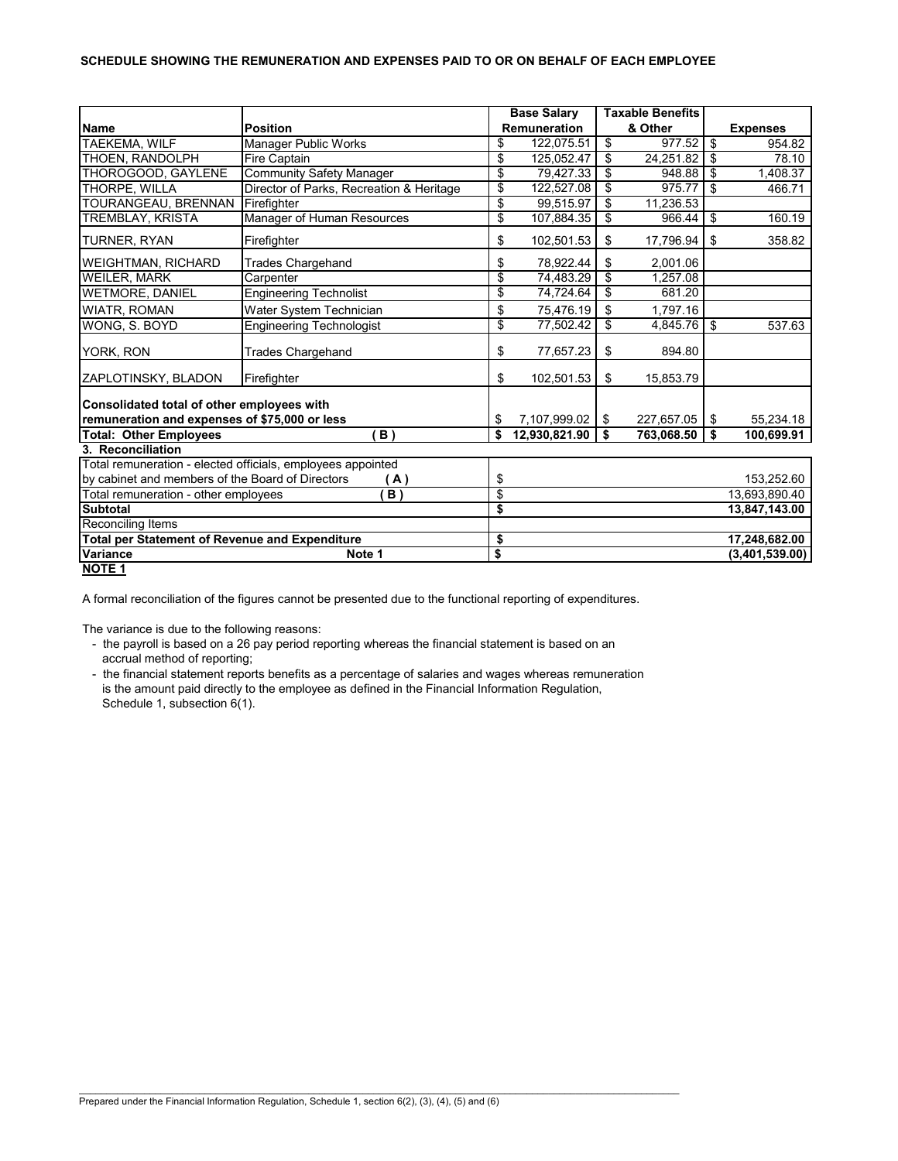#### **SCHEDULE SHOWING THE REMUNERATION AND EXPENSES PAID TO OR ON BEHALF OF EACH EMPLOYEE**

|                                                       |                                                             | <b>Base Salary</b>    |     | <b>Taxable Benefits</b> |                                  |                 |
|-------------------------------------------------------|-------------------------------------------------------------|-----------------------|-----|-------------------------|----------------------------------|-----------------|
| <b>Name</b>                                           | <b>Position</b>                                             | <b>Remuneration</b>   |     | & Other                 |                                  | <b>Expenses</b> |
| <b>TAEKEMA, WILF</b>                                  | Manager Public Works                                        | \$<br>122,075.51      | \$  | 977.52                  | $\overline{\boldsymbol{\theta}}$ | 954.82          |
| THOEN, RANDOLPH                                       | <b>Fire Captain</b>                                         | \$<br>125,052.47      | \$  | 24,251.82               | -\$                              | 78.10           |
| THOROGOOD, GAYLENE                                    | <b>Community Safety Manager</b>                             | \$<br>79,427.33       | \$  | 948.88                  | \$                               | 1,408.37        |
| THORPE. WILLA                                         | Director of Parks, Recreation & Heritage                    | \$<br>122,527.08      | \$  | 975.77                  | \$                               | 466.71          |
| <b>TOURANGEAU, BRENNAN</b>                            | Firefighter                                                 | \$<br>99.515.97       | \$  | 11,236.53               |                                  |                 |
| TREMBLAY, KRISTA                                      | Manager of Human Resources                                  | \$<br>107,884.35      | \$  | 966.44                  | \$                               | 160.19          |
| <b>TURNER, RYAN</b>                                   | Firefighter                                                 | \$<br>102,501.53      | \$  | 17,796.94               | \$                               | 358.82          |
| <b>WEIGHTMAN, RICHARD</b>                             | <b>Trades Chargehand</b>                                    | \$<br>78,922.44       | \$  | 2,001.06                |                                  |                 |
| <b>WEILER, MARK</b>                                   | Carpenter                                                   | \$<br>74,483.29       | \$  | 1,257.08                |                                  |                 |
| <b>WETMORE, DANIEL</b>                                | <b>Engineering Technolist</b>                               | \$<br>74,724.64       | \$  | 681.20                  |                                  |                 |
| <b>WIATR, ROMAN</b>                                   | Water System Technician                                     | \$<br>75,476.19       | \$  | 1,797.16                |                                  |                 |
| WONG, S. BOYD                                         | <b>Engineering Technologist</b>                             | \$<br>77,502.42       | \$  | 4,845.76                | l \$                             | 537.63          |
| YORK, RON                                             | <b>Trades Chargehand</b>                                    | \$<br>77,657.23       | \$  | 894.80                  |                                  |                 |
| <b>ZAPLOTINSKY, BLADON</b>                            | Firefighter                                                 | \$<br>102,501.53      | \$  | 15,853.79               |                                  |                 |
| Consolidated total of other employees with            |                                                             |                       |     |                         |                                  |                 |
| remuneration and expenses of \$75,000 or less         |                                                             | \$<br>7,107,999.02 \$ |     | 227,657.05              | -\$                              | 55,234.18       |
| <b>Total: Other Employees</b>                         | <b>B</b> )                                                  | \$<br>12,930,821.90   | l s | 763,068.50              | - \$                             | 100,699.91      |
| 3. Reconciliation                                     |                                                             |                       |     |                         |                                  |                 |
|                                                       | Total remuneration - elected officials, employees appointed |                       |     |                         |                                  |                 |
| by cabinet and members of the Board of Directors      | (A)                                                         | \$                    |     |                         |                                  | 153,252.60      |
| Total remuneration - other employees                  | B)                                                          | \$                    |     |                         |                                  | 13,693,890.40   |
| <b>Subtotal</b>                                       |                                                             | \$                    |     |                         |                                  | 13,847,143.00   |
| <b>Reconciling Items</b>                              |                                                             |                       |     |                         |                                  |                 |
| <b>Total per Statement of Revenue and Expenditure</b> |                                                             | \$                    |     |                         |                                  | 17,248,682.00   |
| Variance                                              | Note 1                                                      | \$                    |     |                         |                                  | (3,401,539.00)  |
| <b>NOTE 1</b>                                         |                                                             |                       |     |                         |                                  |                 |

A formal reconciliation of the figures cannot be presented due to the functional reporting of expenditures.

The variance is due to the following reasons:

- the payroll is based on a 26 pay period reporting whereas the financial statement is based on an accrual method of reporting;

 - the financial statement reports benefits as a percentage of salaries and wages whereas remuneration is the amount paid directly to the employee as defined in the Financial Information Regulation, Schedule 1, subsection 6(1).

\_\_\_\_\_\_\_\_\_\_\_\_\_\_\_\_\_\_\_\_\_\_\_\_\_\_\_\_\_\_\_\_\_\_\_\_\_\_\_\_\_\_\_\_\_\_\_\_\_\_\_\_\_\_\_\_\_\_\_\_\_\_\_\_\_\_\_\_\_\_\_\_\_\_\_\_\_\_\_\_\_\_\_\_\_\_\_\_\_\_\_\_\_\_\_\_\_\_\_\_\_\_\_\_\_\_\_\_\_\_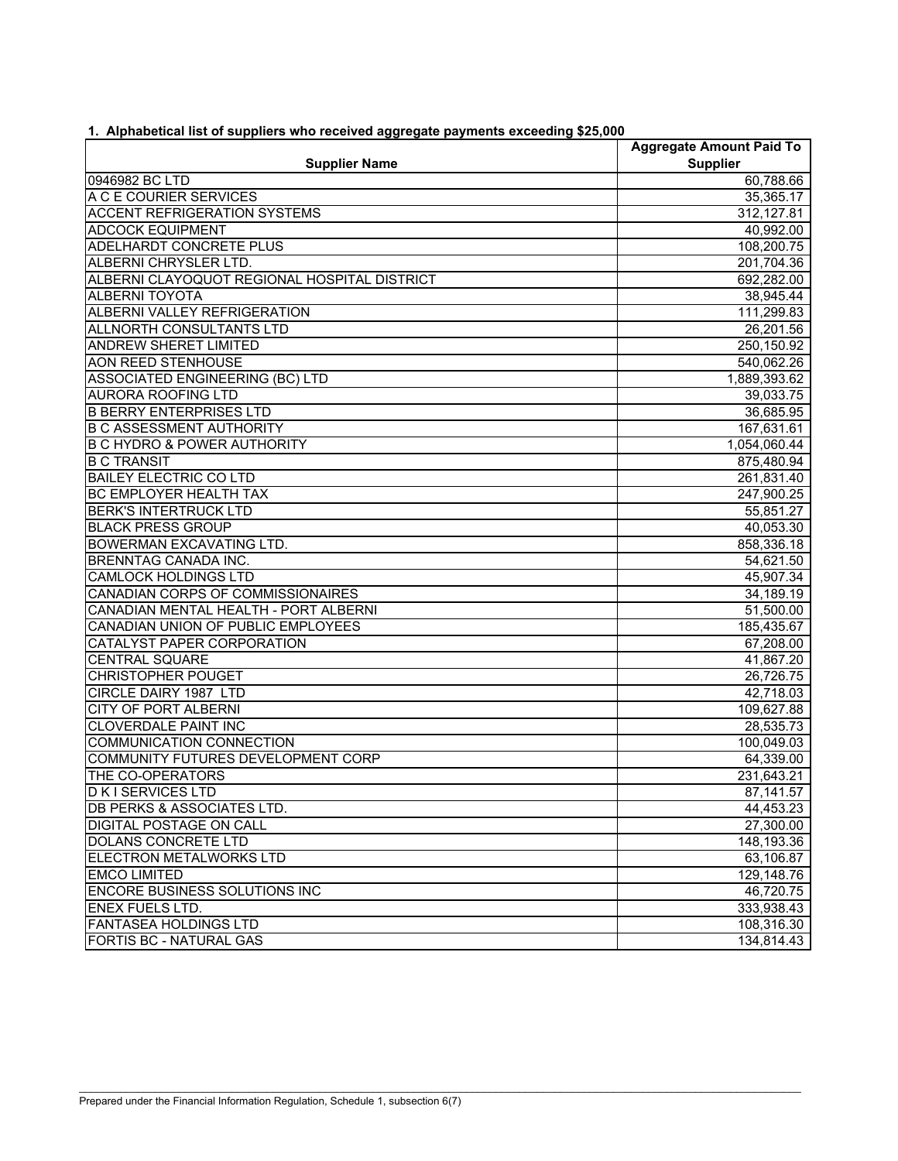| <b>Supplier Name</b>                         | <b>Aggregate Amount Paid To</b><br><b>Supplier</b> |  |  |  |
|----------------------------------------------|----------------------------------------------------|--|--|--|
| 0946982 BC LTD                               | 60,788.66                                          |  |  |  |
| A C E COURIER SERVICES                       | 35,365.17                                          |  |  |  |
| <b>ACCENT REFRIGERATION SYSTEMS</b>          | 312,127.81                                         |  |  |  |
| <b>ADCOCK EQUIPMENT</b>                      | 40,992.00                                          |  |  |  |
| <b>ADELHARDT CONCRETE PLUS</b>               | 108,200.75                                         |  |  |  |
| ALBERNI CHRYSLER LTD.                        | 201,704.36                                         |  |  |  |
| ALBERNI CLAYOQUOT REGIONAL HOSPITAL DISTRICT | 692,282.00                                         |  |  |  |
| <b>ALBERNI TOYOTA</b>                        | 38,945.44                                          |  |  |  |
| ALBERNI VALLEY REFRIGERATION                 | 111,299.83                                         |  |  |  |
| ALLNORTH CONSULTANTS LTD                     | 26,201.56                                          |  |  |  |
| <b>ANDREW SHERET LIMITED</b>                 | 250,150.92                                         |  |  |  |
| <b>AON REED STENHOUSE</b>                    | 540,062.26                                         |  |  |  |
| ASSOCIATED ENGINEERING (BC) LTD              | 1,889,393.62                                       |  |  |  |
| <b>AURORA ROOFING LTD</b>                    | 39,033.75                                          |  |  |  |
| <b>B BERRY ENTERPRISES LTD</b>               | 36,685.95                                          |  |  |  |
| <b>B C ASSESSMENT AUTHORITY</b>              | 167,631.61                                         |  |  |  |
| <b>B C HYDRO &amp; POWER AUTHORITY</b>       | 1,054,060.44                                       |  |  |  |
| <b>B C TRANSIT</b>                           | 875,480.94                                         |  |  |  |
| <b>BAILEY ELECTRIC CO LTD</b>                | 261,831.40                                         |  |  |  |
| <b>BC EMPLOYER HEALTH TAX</b>                | 247,900.25                                         |  |  |  |
| <b>BERK'S INTERTRUCK LTD</b>                 | 55,851.27                                          |  |  |  |
| <b>BLACK PRESS GROUP</b>                     | 40,053.30                                          |  |  |  |
| BOWERMAN EXCAVATING LTD.                     | 858,336.18                                         |  |  |  |
| <b>BRENNTAG CANADA INC.</b>                  | 54,621.50                                          |  |  |  |
| <b>CAMLOCK HOLDINGS LTD</b>                  | 45,907.34                                          |  |  |  |
| CANADIAN CORPS OF COMMISSIONAIRES            | 34,189.19                                          |  |  |  |
| CANADIAN MENTAL HEALTH - PORT ALBERNI        | 51,500.00                                          |  |  |  |
| CANADIAN UNION OF PUBLIC EMPLOYEES           | 185,435.67                                         |  |  |  |
| CATALYST PAPER CORPORATION                   | 67,208.00                                          |  |  |  |
| <b>CENTRAL SQUARE</b>                        | 41,867.20                                          |  |  |  |
| CHRISTOPHER POUGET                           | 26,726.75                                          |  |  |  |
| CIRCLE DAIRY 1987 LTD                        | 42,718.03                                          |  |  |  |
| <b>CITY OF PORT ALBERNI</b>                  | 109,627.88                                         |  |  |  |
| <b>CLOVERDALE PAINT INC</b>                  | 28,535.73                                          |  |  |  |
| <b>COMMUNICATION CONNECTION</b>              | 100,049.03                                         |  |  |  |
| COMMUNITY FUTURES DEVELOPMENT CORP           | 64,339.00                                          |  |  |  |
| THE CO-OPERATORS                             | 231,643.21                                         |  |  |  |
| <b>DKI SERVICES LTD</b>                      | 87, 141.57                                         |  |  |  |
| <b>DB PERKS &amp; ASSOCIATES LTD.</b>        | 44,453.23                                          |  |  |  |
| <b>DIGITAL POSTAGE ON CALL</b>               | 27,300.00                                          |  |  |  |
| DOLANS CONCRETE LTD                          | 148,193.36                                         |  |  |  |
| ELECTRON METALWORKS LTD                      | 63,106.87                                          |  |  |  |
| <b>EMCO LIMITED</b>                          | 129,148.76                                         |  |  |  |
| <b>ENCORE BUSINESS SOLUTIONS INC</b>         | 46,720.75                                          |  |  |  |
| <b>ENEX FUELS LTD.</b>                       | 333,938.43                                         |  |  |  |
| <b>FANTASEA HOLDINGS LTD</b>                 | 108,316.30                                         |  |  |  |
| <b>FORTIS BC - NATURAL GAS</b>               | 134,814.43                                         |  |  |  |

 $\mathcal{L}_\mathcal{L} = \{ \mathcal{L}_\mathcal{L} = \{ \mathcal{L}_\mathcal{L} = \{ \mathcal{L}_\mathcal{L} = \{ \mathcal{L}_\mathcal{L} = \{ \mathcal{L}_\mathcal{L} = \{ \mathcal{L}_\mathcal{L} = \{ \mathcal{L}_\mathcal{L} = \{ \mathcal{L}_\mathcal{L} = \{ \mathcal{L}_\mathcal{L} = \{ \mathcal{L}_\mathcal{L} = \{ \mathcal{L}_\mathcal{L} = \{ \mathcal{L}_\mathcal{L} = \{ \mathcal{L}_\mathcal{L} = \{ \mathcal{L}_\mathcal{$ 

**1. Alphabetical list of suppliers who received aggregate payments exceeding \$25,000**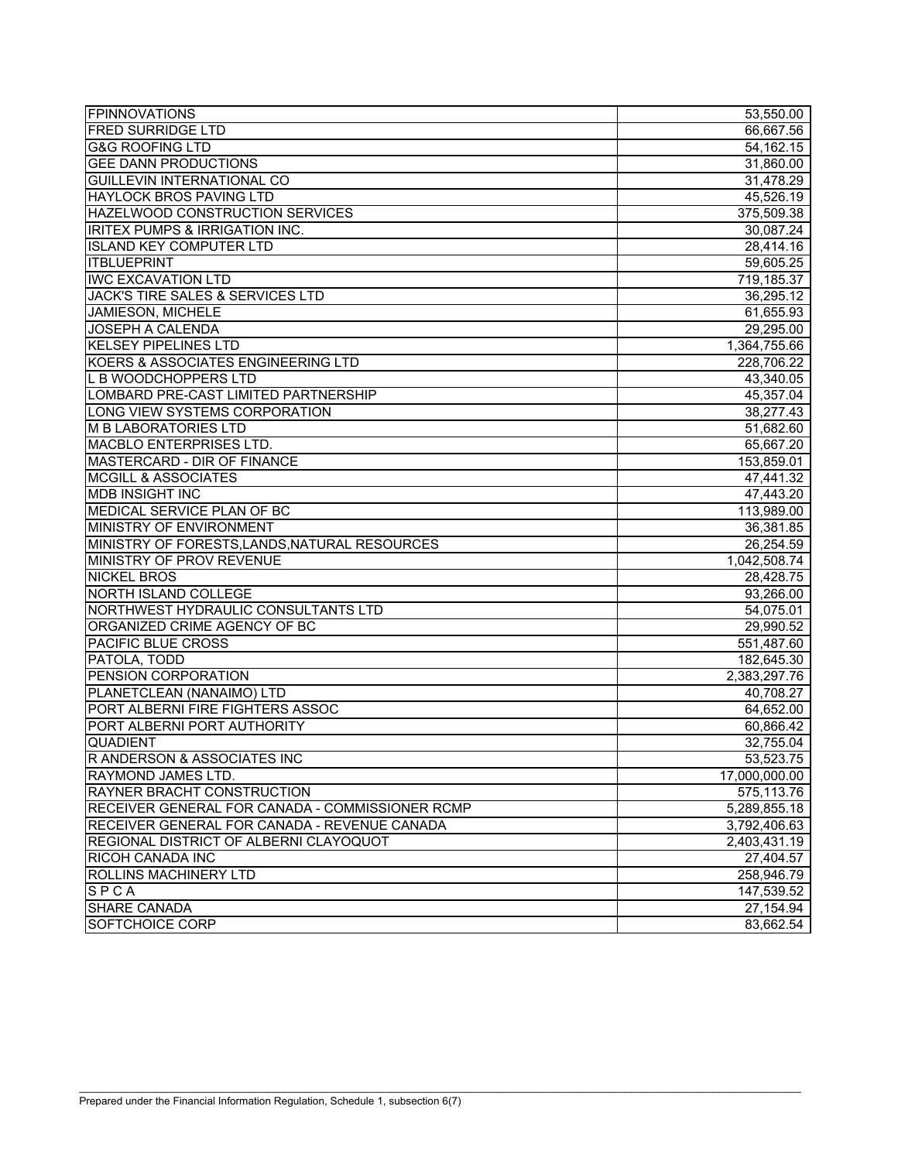| <b>FPINNOVATIONS</b>                            | 53,550.00     |
|-------------------------------------------------|---------------|
| <b>FRED SURRIDGE LTD</b>                        | 66,667.56     |
| <b>G&amp;G ROOFING LTD</b>                      | 54,162.15     |
| <b>GEE DANN PRODUCTIONS</b>                     | 31,860.00     |
| <b>GUILLEVIN INTERNATIONAL CO</b>               | 31,478.29     |
| <b>HAYLOCK BROS PAVING LTD</b>                  | 45,526.19     |
| HAZELWOOD CONSTRUCTION SERVICES                 | 375,509.38    |
| <b>IRITEX PUMPS &amp; IRRIGATION INC.</b>       | 30,087.24     |
| <b>ISLAND KEY COMPUTER LTD</b>                  | 28,414.16     |
| <b>ITBLUEPRINT</b>                              | 59,605.25     |
| <b>IWC EXCAVATION LTD</b>                       | 719,185.37    |
| JACK'S TIRE SALES & SERVICES LTD                | 36,295.12     |
| <b>JAMIESON, MICHELE</b>                        | 61,655.93     |
| <b>JOSEPH A CALENDA</b>                         | 29,295.00     |
| <b>KELSEY PIPELINES LTD</b>                     | 1,364,755.66  |
| KOERS & ASSOCIATES ENGINEERING LTD              | 228,706.22    |
| L B WOODCHOPPERS LTD                            | 43,340.05     |
| LOMBARD PRE-CAST LIMITED PARTNERSHIP            | 45,357.04     |
| LONG VIEW SYSTEMS CORPORATION                   | 38,277.43     |
| <b>M B LABORATORIES LTD</b>                     | 51,682.60     |
| MACBLO ENTERPRISES LTD.                         | 65,667.20     |
| MASTERCARD - DIR OF FINANCE                     | 153,859.01    |
| <b>MCGILL &amp; ASSOCIATES</b>                  | 47,441.32     |
| <b>MDB INSIGHT INC</b>                          | 47,443.20     |
| MEDICAL SERVICE PLAN OF BC                      | 113,989.00    |
| MINISTRY OF ENVIRONMENT                         | 36,381.85     |
| MINISTRY OF FORESTS, LANDS, NATURAL RESOURCES   | 26,254.59     |
| MINISTRY OF PROV REVENUE                        | 1,042,508.74  |
| <b>NICKEL BROS</b>                              | 28,428.75     |
| <b>NORTH ISLAND COLLEGE</b>                     | 93,266.00     |
| NORTHWEST HYDRAULIC CONSULTANTS LTD             | 54,075.01     |
| ORGANIZED CRIME AGENCY OF BC                    | 29,990.52     |
| <b>PACIFIC BLUE CROSS</b>                       | 551,487.60    |
| PATOLA, TODD                                    | 182,645.30    |
| PENSION CORPORATION                             | 2,383,297.76  |
| PLANETCLEAN (NANAIMO) LTD                       | 40,708.27     |
| PORT ALBERNI FIRE FIGHTERS ASSOC                | 64,652.00     |
| PORT ALBERNI PORT AUTHORITY                     | 60,866.42     |
| <b>QUADIENT</b>                                 | 32,755.04     |
| R ANDERSON & ASSOCIATES INC                     | 53,523.75     |
| RAYMOND JAMES LTD.                              | 17,000,000.00 |
| RAYNER BRACHT CONSTRUCTION                      | 575,113.76    |
| RECEIVER GENERAL FOR CANADA - COMMISSIONER RCMP | 5,289,855.18  |
| RECEIVER GENERAL FOR CANADA - REVENUE CANADA    | 3,792,406.63  |
| REGIONAL DISTRICT OF ALBERNI CLAYOQUOT          | 2,403,431.19  |
| <b>RICOH CANADA INC</b>                         | 27,404.57     |
| <b>ROLLINS MACHINERY LTD</b>                    | 258,946.79    |
| SPCA                                            | 147,539.52    |
| <b>SHARE CANADA</b>                             | 27,154.94     |
| <b>SOFTCHOICE CORP</b>                          | 83,662.54     |

 $\mathcal{L}_\mathcal{L} = \{ \mathcal{L}_\mathcal{L} = \{ \mathcal{L}_\mathcal{L} = \{ \mathcal{L}_\mathcal{L} = \{ \mathcal{L}_\mathcal{L} = \{ \mathcal{L}_\mathcal{L} = \{ \mathcal{L}_\mathcal{L} = \{ \mathcal{L}_\mathcal{L} = \{ \mathcal{L}_\mathcal{L} = \{ \mathcal{L}_\mathcal{L} = \{ \mathcal{L}_\mathcal{L} = \{ \mathcal{L}_\mathcal{L} = \{ \mathcal{L}_\mathcal{L} = \{ \mathcal{L}_\mathcal{L} = \{ \mathcal{L}_\mathcal{$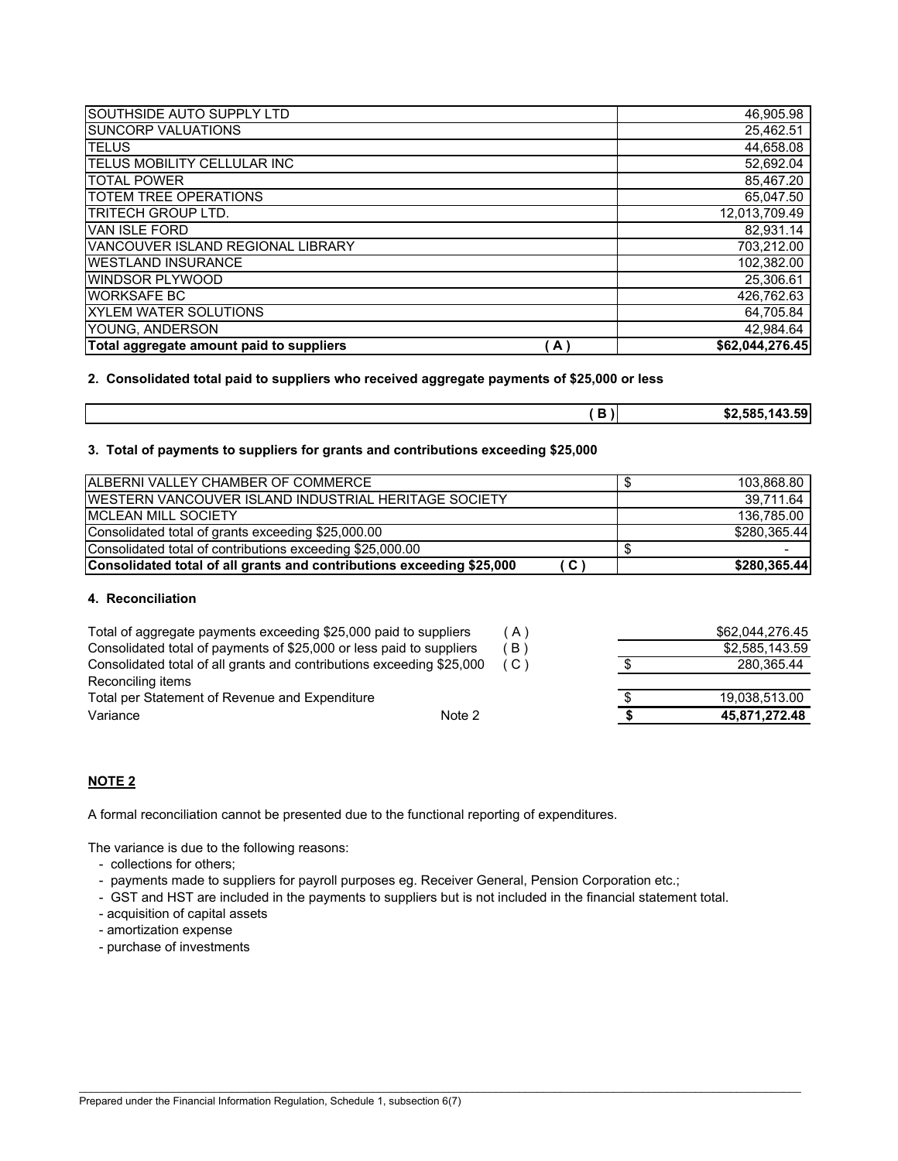| SOUTHSIDE AUTO SUPPLY LTD                |              | 46,905.98       |
|------------------------------------------|--------------|-----------------|
| <b>SUNCORP VALUATIONS</b>                |              | 25,462.51       |
| <b>TELUS</b>                             |              | 44,658.08       |
| <b>TELUS MOBILITY CELLULAR INC</b>       |              | 52,692.04       |
| <b>TOTAL POWER</b>                       |              | 85,467.20       |
| <b>TOTEM TREE OPERATIONS</b>             |              | 65,047.50       |
| <b>TRITECH GROUP LTD.</b>                |              | 12,013,709.49   |
| VAN ISLE FORD                            |              | 82,931.14       |
| VANCOUVER ISLAND REGIONAL LIBRARY        |              | 703,212.00      |
| <b>WESTLAND INSURANCE</b>                |              | 102,382.00      |
| WINDSOR PLYWOOD                          |              | 25,306.61       |
| <b>WORKSAFE BC</b>                       |              | 426,762.63      |
| <b>XYLEM WATER SOLUTIONS</b>             |              | 64,705.84       |
| YOUNG, ANDERSON                          |              | 42,984.64       |
| Total aggregate amount paid to suppliers | $\mathbf{A}$ | \$62,044,276.45 |

**2. Consolidated total paid to suppliers who received aggregate payments of \$25,000 or less**

| -<br>. .<br><br>. . | \$2.585.143.59<br>ЭZ. |
|---------------------|-----------------------|
|                     |                       |

**3. Total of payments to suppliers for grants and contributions exceeding \$25,000**

| ALBERNI VALLEY CHAMBER OF COMMERCE                                    |      | 103,868.80   |
|-----------------------------------------------------------------------|------|--------------|
| <u>IWESTERN VANCOUVER ISLAND INDUSTRIAL HERITAGE SOCIETY</u>          |      | 39,711.64    |
| <b>IMCLEAN MILL SOCIETY</b>                                           |      | 136,785.00   |
| Consolidated total of grants exceeding \$25,000.00                    |      | \$280.365.44 |
| Consolidated total of contributions exceeding \$25,000.00             |      |              |
| Consolidated total of all grants and contributions exceeding \$25,000 | (C ` | \$280,365.44 |

### **4. Reconciliation**

| Total of aggregate payments exceeding \$25,000 paid to suppliers      | $\Delta$     | \$62.044.276.45 |
|-----------------------------------------------------------------------|--------------|-----------------|
| Consolidated total of payments of \$25,000 or less paid to suppliers  | $\mathsf{B}$ | \$2,585,143.59  |
| Consolidated total of all grants and contributions exceeding \$25,000 | . C '        | 280.365.44      |
| Reconciling items                                                     |              |                 |
| Total per Statement of Revenue and Expenditure                        |              | 19.038.513.00   |
| Note 2<br>Variance                                                    |              | 45,871,272.48   |

### **NOTE 2**

A formal reconciliation cannot be presented due to the functional reporting of expenditures.

The variance is due to the following reasons:

- collections for others;
- payments made to suppliers for payroll purposes eg. Receiver General, Pension Corporation etc.;
- GST and HST are included in the payments to suppliers but is not included in the financial statement total.

 $\mathcal{L}_\mathcal{L} = \{ \mathcal{L}_\mathcal{L} = \{ \mathcal{L}_\mathcal{L} = \{ \mathcal{L}_\mathcal{L} = \{ \mathcal{L}_\mathcal{L} = \{ \mathcal{L}_\mathcal{L} = \{ \mathcal{L}_\mathcal{L} = \{ \mathcal{L}_\mathcal{L} = \{ \mathcal{L}_\mathcal{L} = \{ \mathcal{L}_\mathcal{L} = \{ \mathcal{L}_\mathcal{L} = \{ \mathcal{L}_\mathcal{L} = \{ \mathcal{L}_\mathcal{L} = \{ \mathcal{L}_\mathcal{L} = \{ \mathcal{L}_\mathcal{$ 

- acquisition of capital assets
- amortization expense
- purchase of investments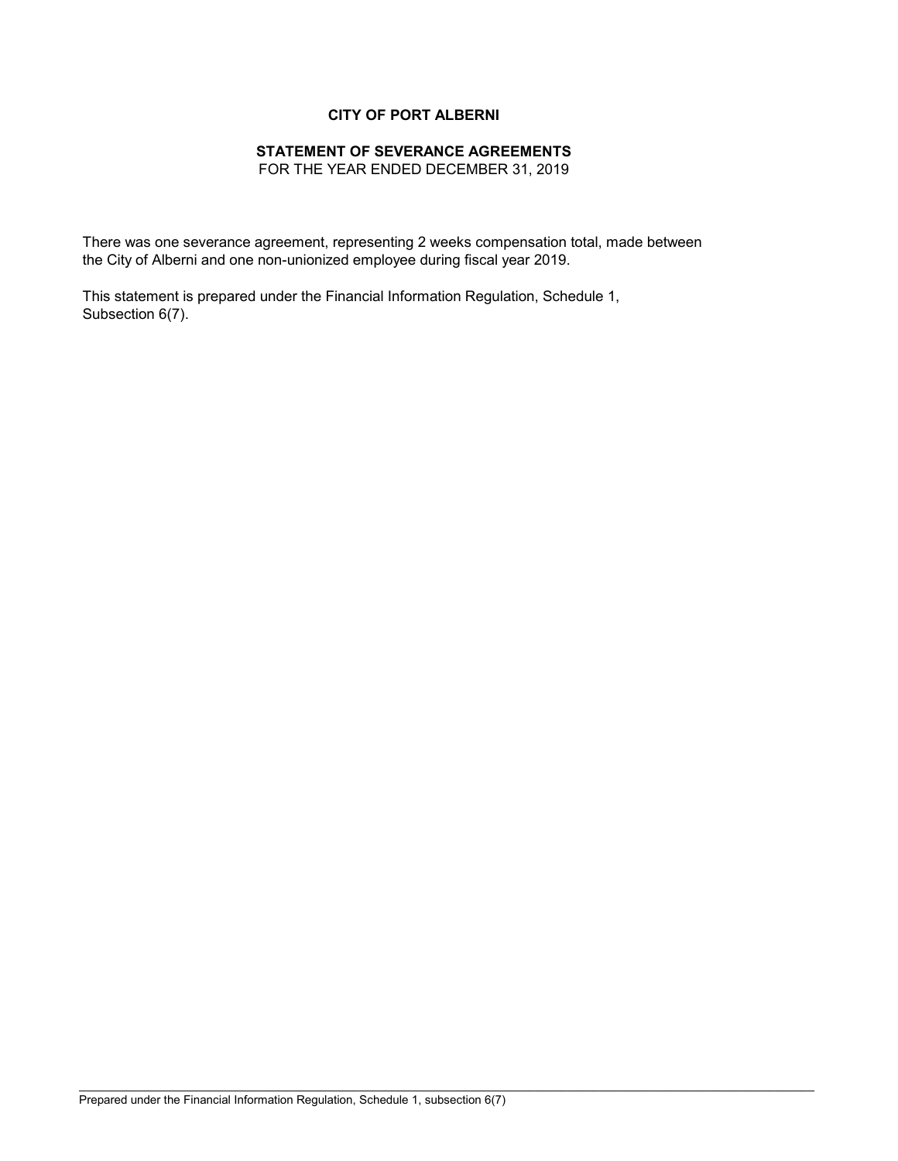# **CITY OF PORT ALBERNI**

# **STATEMENT OF SEVERANCE AGREEMENTS**

FOR THE YEAR ENDED DECEMBER 31, 2019

There was one severance agreement, representing 2 weeks compensation total, made between the City of Alberni and one non-unionized employee during fiscal year 2019.

This statement is prepared under the Financial Information Regulation, Schedule 1, Subsection 6(7).

\_\_\_\_\_\_\_\_\_\_\_\_\_\_\_\_\_\_\_\_\_\_\_\_\_\_\_\_\_\_\_\_\_\_\_\_\_\_\_\_\_\_\_\_\_\_\_\_\_\_\_\_\_\_\_\_\_\_\_\_\_\_\_\_\_\_\_\_\_\_\_\_\_\_\_\_\_\_\_\_\_\_\_\_\_\_\_\_\_\_\_\_\_\_\_\_\_\_\_\_\_\_\_\_\_\_\_\_\_\_\_\_\_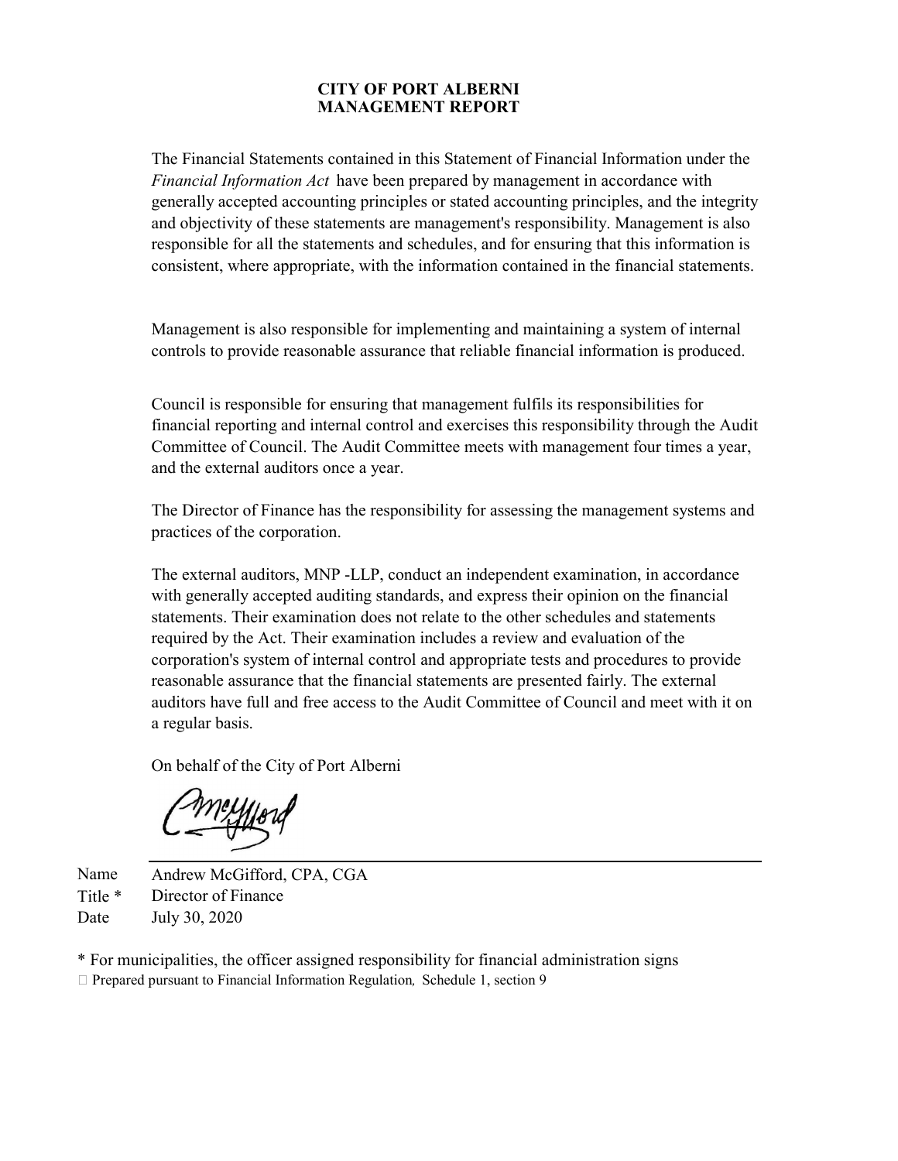# **MANAGEMENT REPORT CITY OF PORT ALBERNI**

The Financial Statements contained in this Statement of Financial Information under the *Financial Information Act* have been prepared by management in accordance with generally accepted accounting principles or stated accounting principles, and the integrity and objectivity of these statements are management's responsibility. Management is also responsible for all the statements and schedules, and for ensuring that this information is consistent, where appropriate, with the information contained in the financial statements.

Management is also responsible for implementing and maintaining a system of internal controls to provide reasonable assurance that reliable financial information is produced.

Council is responsible for ensuring that management fulfils its responsibilities for financial reporting and internal control and exercises this responsibility through the Audit Committee of Council. The Audit Committee meets with management four times a year, and the external auditors once a year.

The Director of Finance has the responsibility for assessing the management systems and practices of the corporation.

The external auditors, MNP -LLP, conduct an independent examination, in accordance with generally accepted auditing standards, and express their opinion on the financial statements. Their examination does not relate to the other schedules and statements required by the Act. Their examination includes a review and evaluation of the corporation's system of internal control and appropriate tests and procedures to provide reasonable assurance that the financial statements are presented fairly. The external auditors have full and free access to the Audit Committee of Council and meet with it on a regular basis.

On behalf of the City of Port Alberni

Name Andrew McGifford, CPA, CGA Title \* Director of Finance Date July 30, 2020

\* For municipalities, the officer assigned responsibility for financial administration signs Prepared pursuant to Financial Information Regulation*,* Schedule 1, section 9